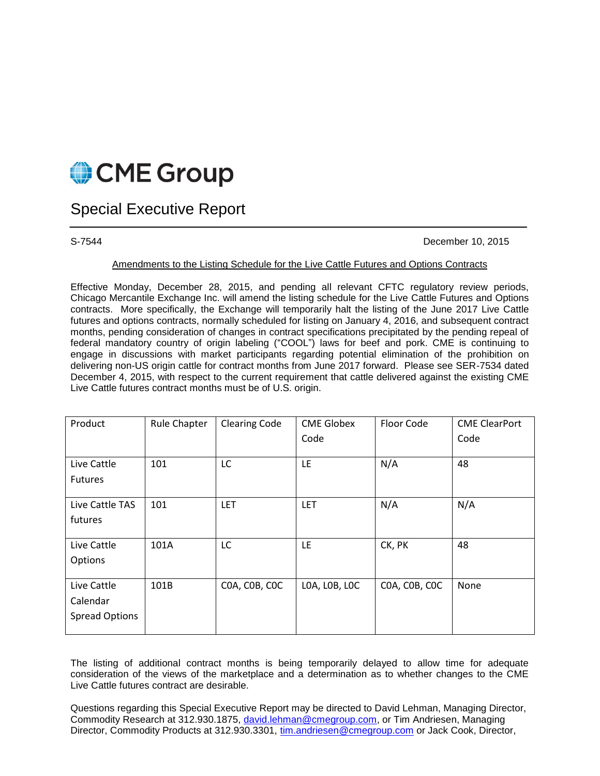

## Special Executive Report

S-7544 December 10, 2015

## Amendments to the Listing Schedule for the Live Cattle Futures and Options Contracts

Effective Monday, December 28, 2015, and pending all relevant CFTC regulatory review periods, Chicago Mercantile Exchange Inc. will amend the listing schedule for the Live Cattle Futures and Options contracts. More specifically, the Exchange will temporarily halt the listing of the June 2017 Live Cattle futures and options contracts, normally scheduled for listing on January 4, 2016, and subsequent contract months, pending consideration of changes in contract specifications precipitated by the pending repeal of federal mandatory country of origin labeling ("COOL") laws for beef and pork. CME is continuing to engage in discussions with market participants regarding potential elimination of the prohibition on delivering non-US origin cattle for contract months from June 2017 forward. Please see SER-7534 dated December 4, 2015, with respect to the current requirement that cattle delivered against the existing CME Live Cattle futures contract months must be of U.S. origin.

| Product               | <b>Rule Chapter</b> | <b>Clearing Code</b> | <b>CME Globex</b> | Floor Code    | <b>CME ClearPort</b> |
|-----------------------|---------------------|----------------------|-------------------|---------------|----------------------|
|                       |                     |                      | Code              |               | Code                 |
|                       |                     |                      |                   |               |                      |
| Live Cattle           | 101                 | LC                   | LE.               | N/A           | 48                   |
| <b>Futures</b>        |                     |                      |                   |               |                      |
|                       |                     |                      |                   |               |                      |
| Live Cattle TAS       | 101                 | <b>LET</b>           | <b>LET</b>        | N/A           | N/A                  |
| futures               |                     |                      |                   |               |                      |
|                       |                     |                      |                   |               |                      |
| Live Cattle           | 101A                | LC                   | LE                | CK, PK        | 48                   |
| Options               |                     |                      |                   |               |                      |
|                       |                     |                      |                   |               |                      |
| Live Cattle           | 101B                | COA, COB, COC        | LOA, LOB, LOC     | COA, COB, COC | None                 |
| Calendar              |                     |                      |                   |               |                      |
| <b>Spread Options</b> |                     |                      |                   |               |                      |
|                       |                     |                      |                   |               |                      |

The listing of additional contract months is being temporarily delayed to allow time for adequate consideration of the views of the marketplace and a determination as to whether changes to the CME Live Cattle futures contract are desirable.

Questions regarding this Special Executive Report may be directed to David Lehman, Managing Director, Commodity Research at 312.930.1875, [david.lehman@cmegroup.com,](mailto:david.lehman@cmegroup.com) or Tim Andriesen, Managing Director, Commodity Products at 312.930.3301, [tim.andriesen@cmegroup.com](mailto:tim.andriesen@cmegroup.com) or Jack Cook, Director,